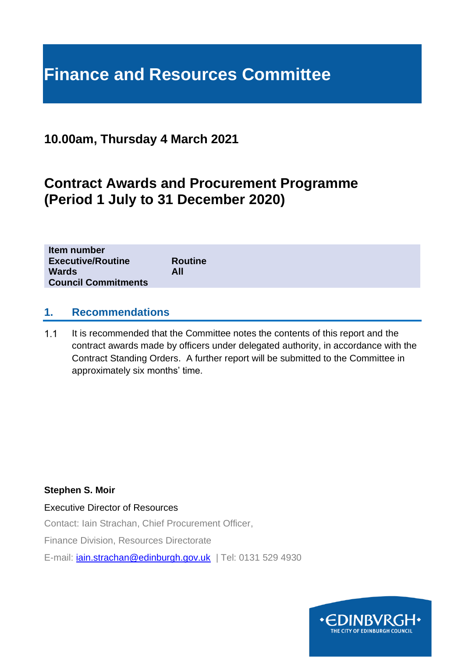# **Finance and Resources Committee**

# **10.00am, Thursday 4 March 2021**

# **Contract Awards and Procurement Programme (Period 1 July to 31 December 2020)**

| Item number                |                |
|----------------------------|----------------|
| <b>Executive/Routine</b>   | <b>Routine</b> |
| Wards                      | All            |
| <b>Council Commitments</b> |                |

#### **1. Recommendations**

 $1.1$ It is recommended that the Committee notes the contents of this report and the contract awards made by officers under delegated authority, in accordance with the Contract Standing Orders. A further report will be submitted to the Committee in approximately six months' time.

#### **Stephen S. Moir**

Executive Director of Resources

Contact: Iain Strachan, Chief Procurement Officer,

Finance Division, Resources Directorate

E-mail: *[iain.strachan@edinburgh.gov.uk](mailto:iain.strachan@edinburgh.gov.uk)* | Tel: 0131 529 4930

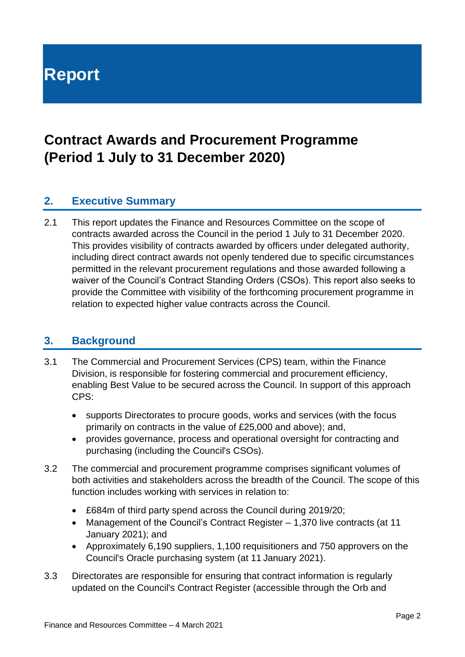# **Report**

# **Contract Awards and Procurement Programme (Period 1 July to 31 December 2020)**

## **2. Executive Summary**

2.1 This report updates the Finance and Resources Committee on the scope of contracts awarded across the Council in the period 1 July to 31 December 2020. This provides visibility of contracts awarded by officers under delegated authority, including direct contract awards not openly tendered due to specific circumstances permitted in the relevant procurement regulations and those awarded following a waiver of the Council's Contract Standing Orders (CSOs). This report also seeks to provide the Committee with visibility of the forthcoming procurement programme in relation to expected higher value contracts across the Council.

#### **3. Background**

- 3.1 The Commercial and Procurement Services (CPS) team, within the Finance Division, is responsible for fostering commercial and procurement efficiency, enabling Best Value to be secured across the Council. In support of this approach CPS:
	- supports Directorates to procure goods, works and services (with the focus primarily on contracts in the value of £25,000 and above); and,
	- provides governance, process and operational oversight for contracting and purchasing (including the Council's CSOs).
- 3.2 The commercial and procurement programme comprises significant volumes of both activities and stakeholders across the breadth of the Council. The scope of this function includes working with services in relation to:
	- £684m of third party spend across the Council during 2019/20;
	- Management of the Council's Contract Register 1,370 live contracts (at 11 January 2021); and
	- Approximately 6,190 suppliers, 1,100 requisitioners and 750 approvers on the Council's Oracle purchasing system (at 11 January 2021).
- 3.3 Directorates are responsible for ensuring that contract information is regularly updated on the Council's Contract Register (accessible through the Orb and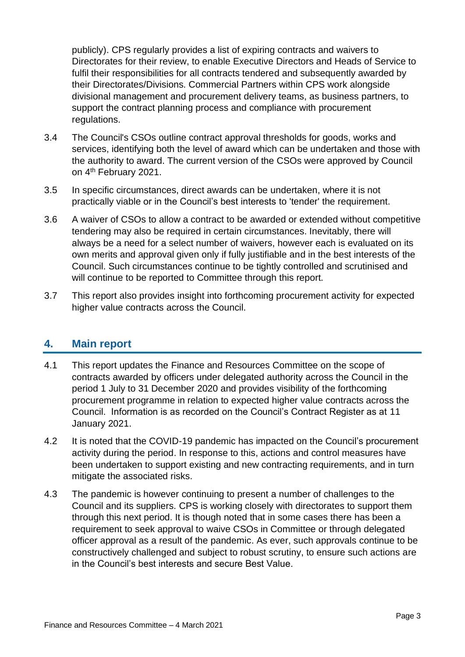publicly). CPS regularly provides a list of expiring contracts and waivers to Directorates for their review, to enable Executive Directors and Heads of Service to fulfil their responsibilities for all contracts tendered and subsequently awarded by their Directorates/Divisions. Commercial Partners within CPS work alongside divisional management and procurement delivery teams, as business partners, to support the contract planning process and compliance with procurement regulations.

- 3.4 The Council's CSOs outline contract approval thresholds for goods, works and services, identifying both the level of award which can be undertaken and those with the authority to award. The current version of the CSOs were approved by Council on 4<sup>th</sup> February 2021.
- 3.5 In specific circumstances, direct awards can be undertaken, where it is not practically viable or in the Council's best interests to 'tender' the requirement.
- 3.6 A waiver of CSOs to allow a contract to be awarded or extended without competitive tendering may also be required in certain circumstances. Inevitably, there will always be a need for a select number of waivers, however each is evaluated on its own merits and approval given only if fully justifiable and in the best interests of the Council. Such circumstances continue to be tightly controlled and scrutinised and will continue to be reported to Committee through this report.
- 3.7 This report also provides insight into forthcoming procurement activity for expected higher value contracts across the Council.

#### **4. Main report**

- 4.1 This report updates the Finance and Resources Committee on the scope of contracts awarded by officers under delegated authority across the Council in the period 1 July to 31 December 2020 and provides visibility of the forthcoming procurement programme in relation to expected higher value contracts across the Council. Information is as recorded on the Council's Contract Register as at 11 January 2021.
- 4.2 It is noted that the COVID-19 pandemic has impacted on the Council's procurement activity during the period. In response to this, actions and control measures have been undertaken to support existing and new contracting requirements, and in turn mitigate the associated risks.
- 4.3 The pandemic is however continuing to present a number of challenges to the Council and its suppliers. CPS is working closely with directorates to support them through this next period. It is though noted that in some cases there has been a requirement to seek approval to waive CSOs in Committee or through delegated officer approval as a result of the pandemic. As ever, such approvals continue to be constructively challenged and subject to robust scrutiny, to ensure such actions are in the Council's best interests and secure Best Value.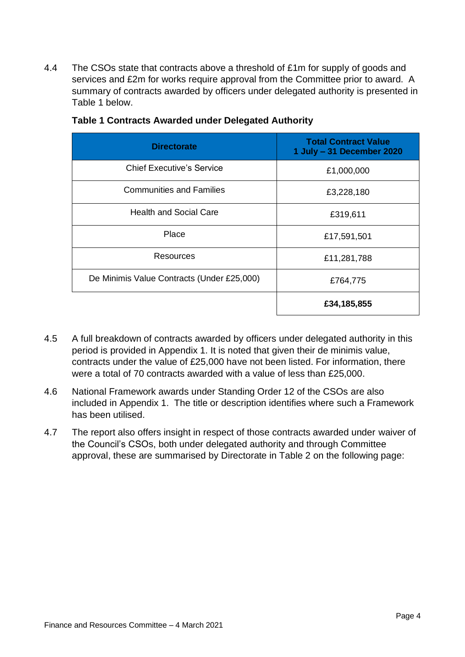4.4 The CSOs state that contracts above a threshold of £1m for supply of goods and services and £2m for works require approval from the Committee prior to award. A summary of contracts awarded by officers under delegated authority is presented in Table 1 below.

| <b>Directorate</b>                         | <b>Total Contract Value</b><br>1 July - 31 December 2020 |
|--------------------------------------------|----------------------------------------------------------|
| <b>Chief Executive's Service</b>           | £1,000,000                                               |
| <b>Communities and Families</b>            | £3,228,180                                               |
| <b>Health and Social Care</b>              | £319,611                                                 |
| Place                                      | £17,591,501                                              |
| Resources                                  | £11,281,788                                              |
| De Minimis Value Contracts (Under £25,000) | £764,775                                                 |
|                                            | £34,185,855                                              |

#### **Table 1 Contracts Awarded under Delegated Authority**

- 4.5 A full breakdown of contracts awarded by officers under delegated authority in this period is provided in Appendix 1. It is noted that given their de minimis value, contracts under the value of £25,000 have not been listed. For information, there were a total of 70 contracts awarded with a value of less than £25,000.
- 4.6 National Framework awards under Standing Order 12 of the CSOs are also included in Appendix 1. The title or description identifies where such a Framework has been utilised.
- 4.7 The report also offers insight in respect of those contracts awarded under waiver of the Council's CSOs, both under delegated authority and through Committee approval, these are summarised by Directorate in Table 2 on the following page: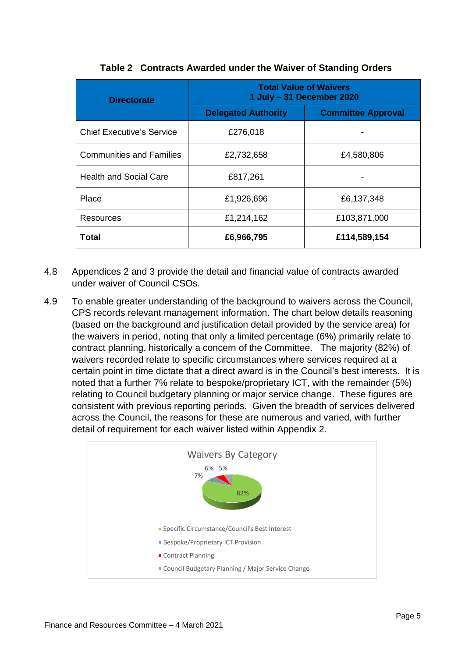| <b>Directorate</b>               | <b>Total Value of Waivers</b><br>1 July - 31 December 2020 |                           |
|----------------------------------|------------------------------------------------------------|---------------------------|
|                                  | <b>Delegated Authority</b>                                 | <b>Committee Approval</b> |
| <b>Chief Executive's Service</b> | £276,018                                                   |                           |
| <b>Communities and Families</b>  | £2,732,658                                                 | £4,580,806                |
| <b>Health and Social Care</b>    | £817,261                                                   |                           |
| Place                            | £1,926,696                                                 | £6,137,348                |
| Resources                        | £1,214,162                                                 | £103,871,000              |
| Total                            | £6,966,795                                                 | £114,589,154              |

#### **Table 2 Contracts Awarded under the Waiver of Standing Orders**

- 4.8 Appendices 2 and 3 provide the detail and financial value of contracts awarded under waiver of Council CSOs.
- 4.9 To enable greater understanding of the background to waivers across the Council, CPS records relevant management information. The chart below details reasoning (based on the background and justification detail provided by the service area) for the waivers in period, noting that only a limited percentage (6%) primarily relate to contract planning, historically a concern of the Committee. The majority (82%) of waivers recorded relate to specific circumstances where services required at a certain point in time dictate that a direct award is in the Council's best interests. It is noted that a further 7% relate to bespoke/proprietary ICT, with the remainder (5%) relating to Council budgetary planning or major service change. These figures are consistent with previous reporting periods. Given the breadth of services delivered across the Council, the reasons for these are numerous and varied, with further detail of requirement for each waiver listed within Appendix 2.

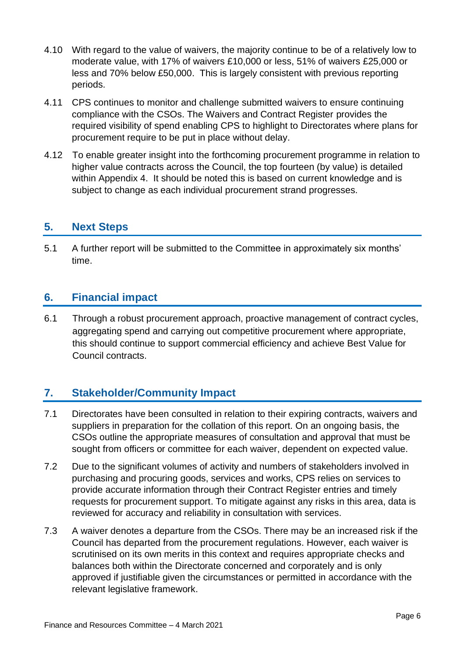- 4.10 With regard to the value of waivers, the majority continue to be of a relatively low to moderate value, with 17% of waivers £10,000 or less, 51% of waivers £25,000 or less and 70% below £50,000. This is largely consistent with previous reporting periods.
- 4.11 CPS continues to monitor and challenge submitted waivers to ensure continuing compliance with the CSOs. The Waivers and Contract Register provides the required visibility of spend enabling CPS to highlight to Directorates where plans for procurement require to be put in place without delay.
- 4.12 To enable greater insight into the forthcoming procurement programme in relation to higher value contracts across the Council, the top fourteen (by value) is detailed within Appendix 4. It should be noted this is based on current knowledge and is subject to change as each individual procurement strand progresses.

### **5. Next Steps**

5.1 A further report will be submitted to the Committee in approximately six months' time.

### **6. Financial impact**

6.1 Through a robust procurement approach, proactive management of contract cycles, aggregating spend and carrying out competitive procurement where appropriate, this should continue to support commercial efficiency and achieve Best Value for Council contracts.

## **7. Stakeholder/Community Impact**

- 7.1 Directorates have been consulted in relation to their expiring contracts, waivers and suppliers in preparation for the collation of this report. On an ongoing basis, the CSOs outline the appropriate measures of consultation and approval that must be sought from officers or committee for each waiver, dependent on expected value.
- 7.2 Due to the significant volumes of activity and numbers of stakeholders involved in purchasing and procuring goods, services and works, CPS relies on services to provide accurate information through their Contract Register entries and timely requests for procurement support. To mitigate against any risks in this area, data is reviewed for accuracy and reliability in consultation with services.
- 7.3 A waiver denotes a departure from the CSOs. There may be an increased risk if the Council has departed from the procurement regulations. However, each waiver is scrutinised on its own merits in this context and requires appropriate checks and balances both within the Directorate concerned and corporately and is only approved if justifiable given the circumstances or permitted in accordance with the relevant legislative framework.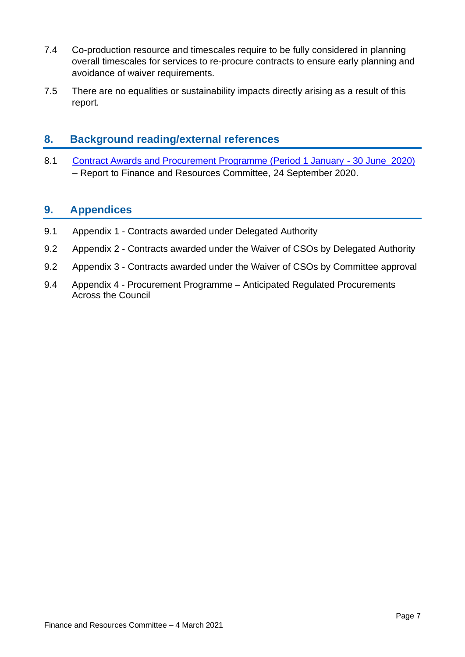- 7.4 Co-production resource and timescales require to be fully considered in planning overall timescales for services to re-procure contracts to ensure early planning and avoidance of waiver requirements.
- 7.5 There are no equalities or sustainability impacts directly arising as a result of this report.

#### **8. Background reading/external references**

8.1 [Contract Awards and Procurement Programme \(Period 1 January -](https://democracy.edinburgh.gov.uk/ieListDocuments.aspx?CId=140&MId=5561&Ver=4) 30 June 2020) – Report to Finance and Resources Committee, 24 September 2020.

### **9. Appendices**

- 9.1 Appendix 1 Contracts awarded under Delegated Authority
- 9.2 Appendix 2 Contracts awarded under the Waiver of CSOs by Delegated Authority
- 9.2 Appendix 3 Contracts awarded under the Waiver of CSOs by Committee approval
- 9.4 Appendix 4 Procurement Programme Anticipated Regulated Procurements Across the Council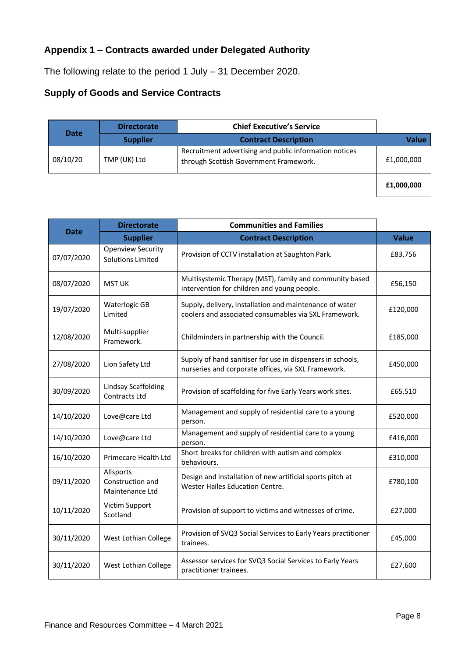### **Appendix 1 – Contracts awarded under Delegated Authority**

The following relate to the period 1 July – 31 December 2020.

#### **Supply of Goods and Service Contracts**

|             | <b>Directorate</b> | <b>Chief Executive's Service</b>                                                                 |            |
|-------------|--------------------|--------------------------------------------------------------------------------------------------|------------|
| <b>Date</b> | <b>Supplier</b>    | <b>Contract Description</b>                                                                      | Value      |
| 08/10/20    | TMP (UK) Ltd       | Recruitment advertising and public information notices<br>through Scottish Government Framework. | £1,000,000 |
|             |                    |                                                                                                  | £1,000,000 |

|             | <b>Directorate</b>                                   | <b>Communities and Families</b>                                                                                   |              |
|-------------|------------------------------------------------------|-------------------------------------------------------------------------------------------------------------------|--------------|
| <b>Date</b> | <b>Supplier</b>                                      | <b>Contract Description</b>                                                                                       | <b>Value</b> |
| 07/07/2020  | <b>Openview Security</b><br><b>Solutions Limited</b> | Provision of CCTV installation at Saughton Park.                                                                  | £83,756      |
| 08/07/2020  | <b>MST UK</b>                                        | Multisystemic Therapy (MST), family and community based<br>intervention for children and young people.            | £56,150      |
| 19/07/2020  | Waterlogic GB<br>Limited                             | Supply, delivery, installation and maintenance of water<br>coolers and associated consumables via SXL Framework.  | £120,000     |
| 12/08/2020  | Multi-supplier<br>Framework.                         | Childminders in partnership with the Council.                                                                     | £185,000     |
| 27/08/2020  | Lion Safety Ltd                                      | Supply of hand sanitiser for use in dispensers in schools,<br>nurseries and corporate offices, via SXL Framework. | £450,000     |
| 30/09/2020  | <b>Lindsay Scaffolding</b><br>Contracts Ltd          | Provision of scaffolding for five Early Years work sites.                                                         | £65,510      |
| 14/10/2020  | Love@care Ltd                                        | Management and supply of residential care to a young<br>person.                                                   | £520,000     |
| 14/10/2020  | Love@care Ltd                                        | Management and supply of residential care to a young<br>person.                                                   | £416,000     |
| 16/10/2020  | Primecare Health Ltd                                 | Short breaks for children with autism and complex<br>behaviours.                                                  | £310,000     |
| 09/11/2020  | Allsports<br>Construction and<br>Maintenance Ltd     | Design and installation of new artificial sports pitch at<br>Wester Hailes Education Centre.                      | £780,100     |
| 10/11/2020  | Victim Support<br>Scotland                           | Provision of support to victims and witnesses of crime.                                                           | £27,000      |
| 30/11/2020  | West Lothian College                                 | Provision of SVQ3 Social Services to Early Years practitioner<br>trainees.                                        | £45,000      |
| 30/11/2020  | West Lothian College                                 | Assessor services for SVQ3 Social Services to Early Years<br>practitioner trainees.                               | £27,600      |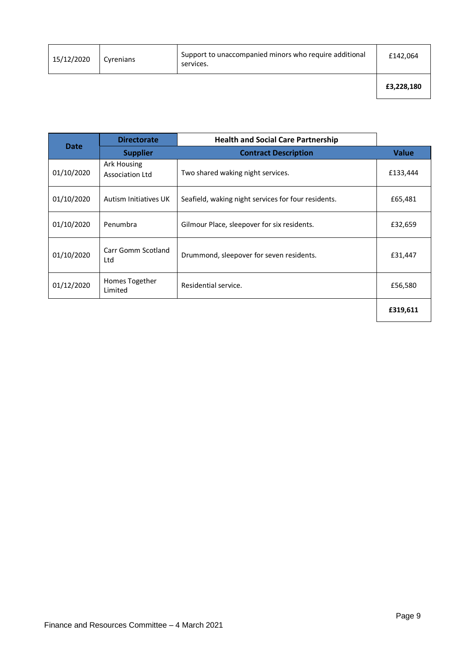| 15/12/2020 | Cyrenians | Support to unaccompanied minors who require additional<br>services. | £142,064   |
|------------|-----------|---------------------------------------------------------------------|------------|
|            |           |                                                                     | £3,228,180 |

|             | <b>Directorate</b>                    | <b>Health and Social Care Partnership</b>           |              |
|-------------|---------------------------------------|-----------------------------------------------------|--------------|
| <b>Date</b> | <b>Supplier</b>                       | <b>Contract Description</b>                         | <b>Value</b> |
| 01/10/2020  | Ark Housing<br><b>Association Ltd</b> | Two shared waking night services.                   | £133,444     |
| 01/10/2020  | Autism Initiatives UK                 | Seafield, waking night services for four residents. | £65,481      |
| 01/10/2020  | Penumbra                              | Gilmour Place, sleepover for six residents.         | £32,659      |
| 01/10/2020  | Carr Gomm Scotland<br>Ltd             | Drummond, sleepover for seven residents.            | £31,447      |
| 01/12/2020  | Homes Together<br>Limited             | Residential service.                                | £56,580      |
|             |                                       |                                                     | £319,611     |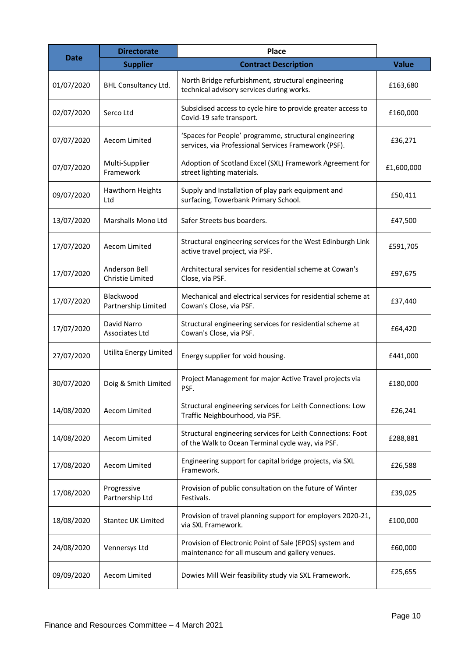| <b>Date</b> | <b>Directorate</b>                | Place                                                                                                            |              |
|-------------|-----------------------------------|------------------------------------------------------------------------------------------------------------------|--------------|
|             | <b>Supplier</b>                   | <b>Contract Description</b>                                                                                      | <b>Value</b> |
| 01/07/2020  | BHL Consultancy Ltd.              | North Bridge refurbishment, structural engineering<br>technical advisory services during works.                  | £163,680     |
| 02/07/2020  | Serco Ltd                         | Subsidised access to cycle hire to provide greater access to<br>Covid-19 safe transport.                         | £160,000     |
| 07/07/2020  | Aecom Limited                     | 'Spaces for People' programme, structural engineering<br>services, via Professional Services Framework (PSF).    | £36,271      |
| 07/07/2020  | Multi-Supplier<br>Framework       | Adoption of Scotland Excel (SXL) Framework Agreement for<br>street lighting materials.                           | £1,600,000   |
| 09/07/2020  | Hawthorn Heights<br>Ltd           | Supply and Installation of play park equipment and<br>surfacing, Towerbank Primary School.                       | £50,411      |
| 13/07/2020  | Marshalls Mono Ltd                | Safer Streets bus boarders.                                                                                      | £47,500      |
| 17/07/2020  | Aecom Limited                     | Structural engineering services for the West Edinburgh Link<br>active travel project, via PSF.                   | £591,705     |
| 17/07/2020  | Anderson Bell<br>Christie Limited | Architectural services for residential scheme at Cowan's<br>Close, via PSF.                                      | £97,675      |
| 17/07/2020  | Blackwood<br>Partnership Limited  | Mechanical and electrical services for residential scheme at<br>Cowan's Close, via PSF.                          | £37,440      |
| 17/07/2020  | David Narro<br>Associates Ltd     | Structural engineering services for residential scheme at<br>Cowan's Close, via PSF.                             | £64,420      |
| 27/07/2020  | Utilita Energy Limited            | Energy supplier for void housing.                                                                                | £441,000     |
| 30/07/2020  | Doig & Smith Limited              | Project Management for major Active Travel projects via<br>PSF.                                                  | £180,000     |
| 14/08/2020  | Aecom Limited                     | Structural engineering services for Leith Connections: Low<br>Traffic Neighbourhood, via PSF.                    | £26,241      |
| 14/08/2020  | Aecom Limited                     | Structural engineering services for Leith Connections: Foot<br>of the Walk to Ocean Terminal cycle way, via PSF. | £288,881     |
| 17/08/2020  | Aecom Limited                     | Engineering support for capital bridge projects, via SXL<br>Framework.                                           | £26,588      |
| 17/08/2020  | Progressive<br>Partnership Ltd    | Provision of public consultation on the future of Winter<br>Festivals.                                           | £39,025      |
| 18/08/2020  | <b>Stantec UK Limited</b>         | Provision of travel planning support for employers 2020-21,<br>via SXL Framework.                                | £100,000     |
| 24/08/2020  | Vennersys Ltd                     | Provision of Electronic Point of Sale (EPOS) system and<br>maintenance for all museum and gallery venues.        | £60,000      |
| 09/09/2020  | Aecom Limited                     | Dowies Mill Weir feasibility study via SXL Framework.                                                            | £25,655      |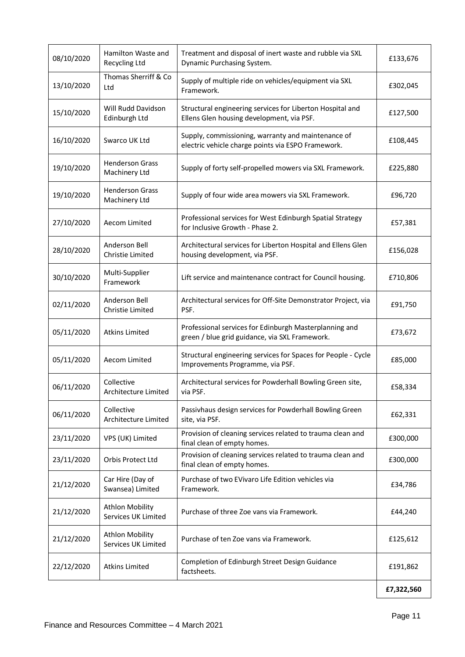| 08/10/2020 | Hamilton Waste and<br>Recycling Ltd           | Treatment and disposal of inert waste and rubble via SXL<br>Dynamic Purchasing System.                   | £133,676   |
|------------|-----------------------------------------------|----------------------------------------------------------------------------------------------------------|------------|
| 13/10/2020 | Thomas Sherriff & Co<br>Ltd                   | Supply of multiple ride on vehicles/equipment via SXL<br>Framework.                                      | £302,045   |
| 15/10/2020 | Will Rudd Davidson<br>Edinburgh Ltd           | Structural engineering services for Liberton Hospital and<br>Ellens Glen housing development, via PSF.   | £127,500   |
| 16/10/2020 | Swarco UK Ltd                                 | Supply, commissioning, warranty and maintenance of<br>electric vehicle charge points via ESPO Framework. | £108,445   |
| 19/10/2020 | <b>Henderson Grass</b><br>Machinery Ltd       | Supply of forty self-propelled mowers via SXL Framework.                                                 | £225,880   |
| 19/10/2020 | <b>Henderson Grass</b><br>Machinery Ltd       | Supply of four wide area mowers via SXL Framework.                                                       | £96,720    |
| 27/10/2020 | Aecom Limited                                 | Professional services for West Edinburgh Spatial Strategy<br>for Inclusive Growth - Phase 2.             | £57,381    |
| 28/10/2020 | Anderson Bell<br>Christie Limited             | Architectural services for Liberton Hospital and Ellens Glen<br>housing development, via PSF.            | £156,028   |
| 30/10/2020 | Multi-Supplier<br>Framework                   | Lift service and maintenance contract for Council housing.                                               | £710,806   |
| 02/11/2020 | Anderson Bell<br>Christie Limited             | Architectural services for Off-Site Demonstrator Project, via<br>PSF.                                    | £91,750    |
| 05/11/2020 | <b>Atkins Limited</b>                         | Professional services for Edinburgh Masterplanning and<br>green / blue grid guidance, via SXL Framework. | £73,672    |
| 05/11/2020 | Aecom Limited                                 | Structural engineering services for Spaces for People - Cycle<br>Improvements Programme, via PSF.        | £85,000    |
| 06/11/2020 | Collective<br>Architecture Limited            | Architectural services for Powderhall Bowling Green site,<br>via PSF.                                    | £58,334    |
| 06/11/2020 | Collective<br>Architecture Limited            | Passivhaus design services for Powderhall Bowling Green<br>site, via PSF.                                | £62,331    |
| 23/11/2020 | VPS (UK) Limited                              | Provision of cleaning services related to trauma clean and<br>final clean of empty homes.                | £300,000   |
| 23/11/2020 | Orbis Protect Ltd                             | Provision of cleaning services related to trauma clean and<br>final clean of empty homes.                | £300,000   |
| 21/12/2020 | Car Hire (Day of<br>Swansea) Limited          | Purchase of two EVivaro Life Edition vehicles via<br>Framework.                                          | £34,786    |
| 21/12/2020 | <b>Athlon Mobility</b><br>Services UK Limited | Purchase of three Zoe vans via Framework.                                                                | £44,240    |
| 21/12/2020 | <b>Athlon Mobility</b><br>Services UK Limited | Purchase of ten Zoe vans via Framework.                                                                  | £125,612   |
| 22/12/2020 | <b>Atkins Limited</b>                         | Completion of Edinburgh Street Design Guidance<br>factsheets.                                            | £191,862   |
|            |                                               |                                                                                                          | £7,322,560 |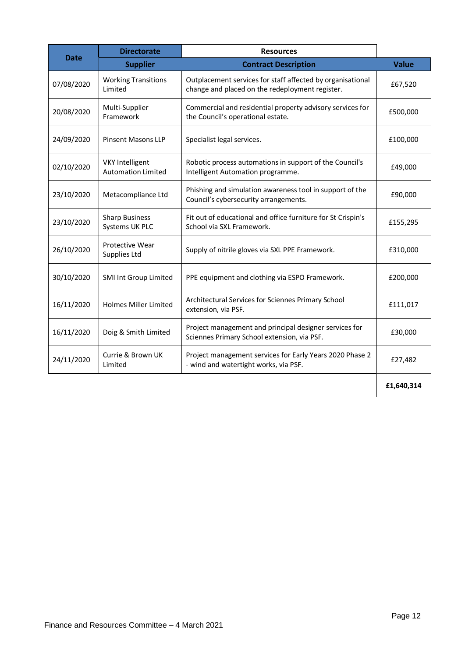|             | <b>Directorate</b>                                  | <b>Resources</b>                                                                                              |              |
|-------------|-----------------------------------------------------|---------------------------------------------------------------------------------------------------------------|--------------|
| <b>Date</b> | <b>Supplier</b>                                     | <b>Contract Description</b>                                                                                   | <b>Value</b> |
| 07/08/2020  | <b>Working Transitions</b><br>Limited               | Outplacement services for staff affected by organisational<br>change and placed on the redeployment register. | £67,520      |
| 20/08/2020  | Multi-Supplier<br>Framework                         | Commercial and residential property advisory services for<br>the Council's operational estate.                | £500,000     |
| 24/09/2020  | <b>Pinsent Masons LLP</b>                           | Specialist legal services.                                                                                    | £100,000     |
| 02/10/2020  | <b>VKY Intelligent</b><br><b>Automation Limited</b> | Robotic process automations in support of the Council's<br>Intelligent Automation programme.                  | £49,000      |
| 23/10/2020  | Metacompliance Ltd                                  | Phishing and simulation awareness tool in support of the<br>Council's cybersecurity arrangements.             | £90,000      |
| 23/10/2020  | <b>Sharp Business</b><br>Systems UK PLC             | Fit out of educational and office furniture for St Crispin's<br>School via SXL Framework.                     | £155,295     |
| 26/10/2020  | <b>Protective Wear</b><br>Supplies Ltd              | Supply of nitrile gloves via SXL PPE Framework.                                                               | £310,000     |
| 30/10/2020  | SMI Int Group Limited                               | PPE equipment and clothing via ESPO Framework.                                                                | £200,000     |
| 16/11/2020  | <b>Holmes Miller Limited</b>                        | Architectural Services for Sciennes Primary School<br>extension, via PSF.                                     | £111,017     |
| 16/11/2020  | Doig & Smith Limited                                | Project management and principal designer services for<br>Sciennes Primary School extension, via PSF.         | £30,000      |
| 24/11/2020  | Currie & Brown UK<br>Limited                        | Project management services for Early Years 2020 Phase 2<br>- wind and watertight works, via PSF.             | £27,482      |
|             |                                                     |                                                                                                               | £1,640,314   |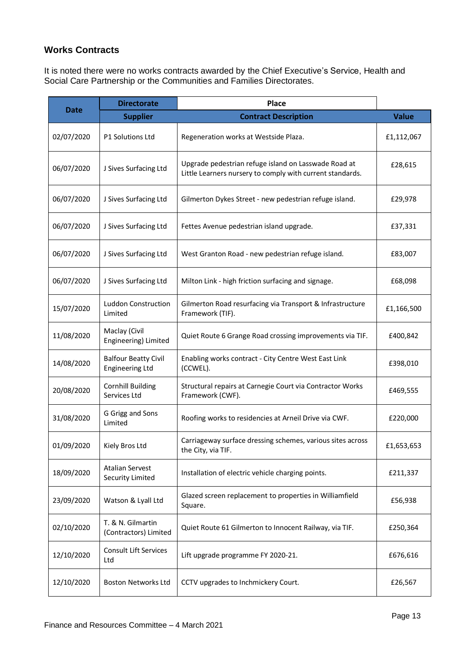#### **Works Contracts**

It is noted there were no works contracts awarded by the Chief Executive's Service, Health and Social Care Partnership or the Communities and Families Directorates.

|             | <b>Directorate</b>                                    | <b>Place</b>                                                                                                      |              |
|-------------|-------------------------------------------------------|-------------------------------------------------------------------------------------------------------------------|--------------|
| <b>Date</b> | <b>Supplier</b>                                       | <b>Contract Description</b>                                                                                       | <b>Value</b> |
| 02/07/2020  | P1 Solutions Ltd                                      | Regeneration works at Westside Plaza.                                                                             | £1,112,067   |
| 06/07/2020  | J Sives Surfacing Ltd                                 | Upgrade pedestrian refuge island on Lasswade Road at<br>Little Learners nursery to comply with current standards. | £28,615      |
| 06/07/2020  | J Sives Surfacing Ltd                                 | Gilmerton Dykes Street - new pedestrian refuge island.                                                            | £29,978      |
| 06/07/2020  | J Sives Surfacing Ltd                                 | Fettes Avenue pedestrian island upgrade.                                                                          | £37,331      |
| 06/07/2020  | J Sives Surfacing Ltd                                 | West Granton Road - new pedestrian refuge island.                                                                 | £83,007      |
| 06/07/2020  | J Sives Surfacing Ltd                                 | Milton Link - high friction surfacing and signage.                                                                | £68,098      |
| 15/07/2020  | <b>Luddon Construction</b><br>Limited                 | Gilmerton Road resurfacing via Transport & Infrastructure<br>Framework (TIF).                                     | £1,166,500   |
| 11/08/2020  | Maclay (Civil<br>Engineering) Limited                 | Quiet Route 6 Grange Road crossing improvements via TIF.                                                          | £400,842     |
| 14/08/2020  | <b>Balfour Beatty Civil</b><br><b>Engineering Ltd</b> | Enabling works contract - City Centre West East Link<br>(CCWEL).                                                  | £398,010     |
| 20/08/2020  | <b>Cornhill Building</b><br>Services Ltd              | Structural repairs at Carnegie Court via Contractor Works<br>Framework (CWF).                                     | £469,555     |
| 31/08/2020  | G Grigg and Sons<br>Limited                           | Roofing works to residencies at Arneil Drive via CWF.                                                             | £220,000     |
| 01/09/2020  | Kiely Bros Ltd                                        | Carriageway surface dressing schemes, various sites across<br>the City, via TIF.                                  | £1,653,653   |
| 18/09/2020  | <b>Atalian Servest</b><br>Security Limited            | Installation of electric vehicle charging points.                                                                 | £211,337     |
| 23/09/2020  | Watson & Lyall Ltd                                    | Glazed screen replacement to properties in Williamfield<br>Square.                                                | £56,938      |
| 02/10/2020  | T. & N. Gilmartin<br>(Contractors) Limited            | Quiet Route 61 Gilmerton to Innocent Railway, via TIF.                                                            | £250,364     |
| 12/10/2020  | Consult Lift Services<br>Ltd                          | Lift upgrade programme FY 2020-21.                                                                                | £676,616     |
| 12/10/2020  | Boston Networks Ltd                                   | CCTV upgrades to Inchmickery Court.                                                                               | £26,567      |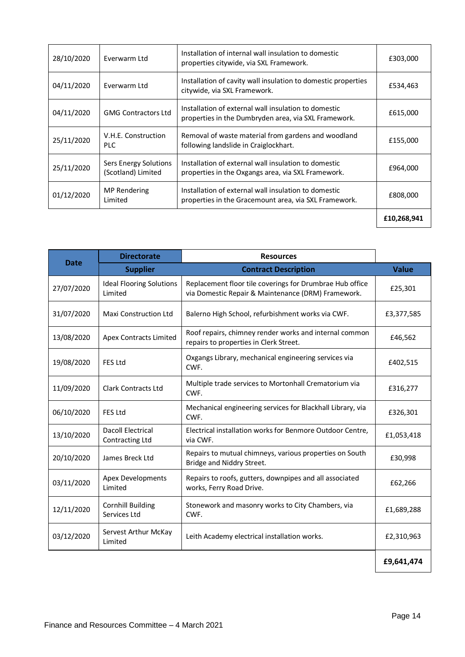| 28/10/2020 | Everwarm Ltd                                | Installation of internal wall insulation to domestic<br>properties citywide, via SXL Framework.               | £303,000    |
|------------|---------------------------------------------|---------------------------------------------------------------------------------------------------------------|-------------|
| 04/11/2020 | Everwarm Ltd                                | Installation of cavity wall insulation to domestic properties<br>citywide, via SXL Framework.                 | £534,463    |
| 04/11/2020 | <b>GMG Contractors Ltd</b>                  | Installation of external wall insulation to domestic<br>properties in the Dumbryden area, via SXL Framework.  | £615,000    |
| 25/11/2020 | V.H.E. Construction<br><b>PLC</b>           | Removal of waste material from gardens and woodland<br>following landslide in Craiglockhart.                  | £155,000    |
| 25/11/2020 | Sers Energy Solutions<br>(Scotland) Limited | Installation of external wall insulation to domestic<br>properties in the Oxgangs area, via SXL Framework.    | £964,000    |
| 01/12/2020 | <b>MP Rendering</b><br>Limited              | Installation of external wall insulation to domestic<br>properties in the Gracemount area, via SXL Framework. | £808,000    |
|            |                                             |                                                                                                               | £10,268,941 |

| <b>Date</b> | <b>Directorate</b>                         | <b>Resources</b>                                                                                               |              |
|-------------|--------------------------------------------|----------------------------------------------------------------------------------------------------------------|--------------|
|             | <b>Supplier</b>                            | <b>Contract Description</b>                                                                                    | <b>Value</b> |
| 27/07/2020  | <b>Ideal Flooring Solutions</b><br>Limited | Replacement floor tile coverings for Drumbrae Hub office<br>via Domestic Repair & Maintenance (DRM) Framework. | £25,301      |
| 31/07/2020  | Maxi Construction Ltd                      | Balerno High School, refurbishment works via CWF.                                                              | £3,377,585   |
| 13/08/2020  | <b>Apex Contracts Limited</b>              | Roof repairs, chimney render works and internal common<br>repairs to properties in Clerk Street.               | £46,562      |
| 19/08/2020  | <b>FES Ltd</b>                             | Oxgangs Library, mechanical engineering services via<br>CWF.                                                   | £402,515     |
| 11/09/2020  | <b>Clark Contracts Ltd</b>                 | Multiple trade services to Mortonhall Crematorium via<br>CWF.                                                  | £316,277     |
| 06/10/2020  | <b>FES Ltd</b>                             | Mechanical engineering services for Blackhall Library, via<br>CWF.                                             | £326,301     |
| 13/10/2020  | Dacoll Electrical<br>Contracting Ltd       | Electrical installation works for Benmore Outdoor Centre,<br>via CWF.                                          | £1,053,418   |
| 20/10/2020  | James Breck Ltd                            | Repairs to mutual chimneys, various properties on South<br>Bridge and Niddry Street.                           | £30,998      |
| 03/11/2020  | <b>Apex Developments</b><br>Limited        | Repairs to roofs, gutters, downpipes and all associated<br>works, Ferry Road Drive.                            | £62,266      |
| 12/11/2020  | <b>Cornhill Building</b><br>Services Ltd   | Stonework and masonry works to City Chambers, via<br>CWF.                                                      | £1,689,288   |
| 03/12/2020  | Servest Arthur McKay<br>Limited            | Leith Academy electrical installation works.                                                                   | £2,310,963   |
|             |                                            |                                                                                                                | £9,641,474   |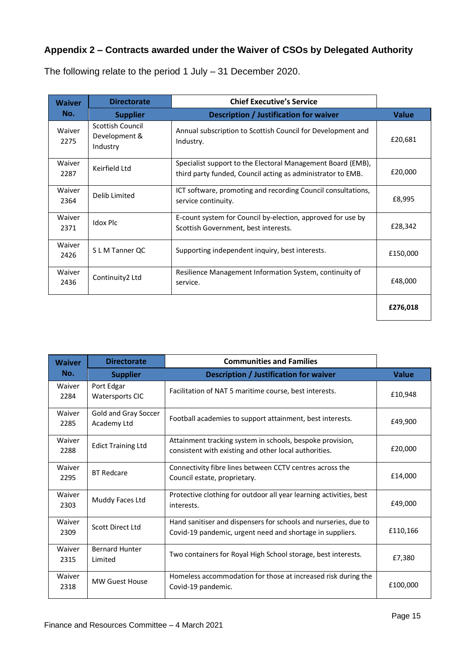## **Appendix 2 – Contracts awarded under the Waiver of CSOs by Delegated Authority**

| <b>Waiver</b>  | <b>Directorate</b>                            | <b>Chief Executive's Service</b>                                                                                           |              |
|----------------|-----------------------------------------------|----------------------------------------------------------------------------------------------------------------------------|--------------|
| No.            | <b>Supplier</b>                               | Description / Justification for waiver                                                                                     | <b>Value</b> |
| Waiver<br>2275 | Scottish Council<br>Development &<br>Industry | Annual subscription to Scottish Council for Development and<br>Industry.                                                   | £20,681      |
| Waiver<br>2287 | Keirfield Ltd                                 | Specialist support to the Electoral Management Board (EMB),<br>third party funded, Council acting as administrator to EMB. | £20,000      |
| Waiver<br>2364 | Delib Limited                                 | ICT software, promoting and recording Council consultations,<br>service continuity.                                        | £8,995       |
| Waiver<br>2371 | Idox Plc                                      | E-count system for Council by-election, approved for use by<br>Scottish Government, best interests.                        | £28,342      |
| Waiver<br>2426 | S L M Tanner QC                               | Supporting independent inquiry, best interests.                                                                            | £150,000     |
| Waiver<br>2436 | Continuity2 Ltd                               | Resilience Management Information System, continuity of<br>service.                                                        | £48,000      |
|                |                                               |                                                                                                                            | £276,018     |

The following relate to the period 1 July – 31 December 2020.

| <b>Waiver</b>  | <b>Directorate</b>                   | <b>Communities and Families</b>                                                                                              |              |
|----------------|--------------------------------------|------------------------------------------------------------------------------------------------------------------------------|--------------|
| No.            | <b>Supplier</b>                      | Description / Justification for waiver                                                                                       | <b>Value</b> |
| Waiver<br>2284 | Port Edgar<br><b>Watersports CIC</b> | Facilitation of NAT 5 maritime course, best interests.                                                                       | £10,948      |
| Waiver<br>2285 | Gold and Gray Soccer<br>Academy Ltd  | Football academies to support attainment, best interests.                                                                    | £49,900      |
| Waiver<br>2288 | <b>Edict Training Ltd</b>            | Attainment tracking system in schools, bespoke provision,<br>consistent with existing and other local authorities.           | £20,000      |
| Waiver<br>2295 | <b>BT Redcare</b>                    | Connectivity fibre lines between CCTV centres across the<br>Council estate, proprietary.                                     | £14,000      |
| Waiver<br>2303 | Muddy Faces Ltd                      | Protective clothing for outdoor all year learning activities, best<br>interests.                                             | £49.000      |
| Waiver<br>2309 | Scott Direct Ltd                     | Hand sanitiser and dispensers for schools and nurseries, due to<br>Covid-19 pandemic, urgent need and shortage in suppliers. | £110,166     |
| Waiver<br>2315 | <b>Bernard Hunter</b><br>Limited     | Two containers for Royal High School storage, best interests.                                                                | £7,380       |
| Waiver<br>2318 | <b>MW Guest House</b>                | Homeless accommodation for those at increased risk during the<br>Covid-19 pandemic.                                          | £100,000     |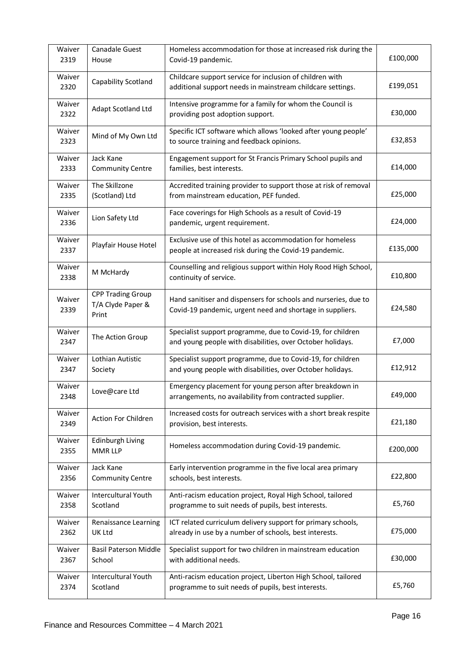| Waiver<br>2319 | Canadale Guest<br>House                                | Homeless accommodation for those at increased risk during the<br>Covid-19 pandemic.                                          | £100,000 |
|----------------|--------------------------------------------------------|------------------------------------------------------------------------------------------------------------------------------|----------|
| Waiver<br>2320 | Capability Scotland                                    | Childcare support service for inclusion of children with<br>additional support needs in mainstream childcare settings.       | £199,051 |
| Waiver<br>2322 | Adapt Scotland Ltd                                     | Intensive programme for a family for whom the Council is<br>providing post adoption support.                                 | £30,000  |
| Waiver<br>2323 | Mind of My Own Ltd                                     | Specific ICT software which allows 'looked after young people'<br>to source training and feedback opinions.                  | £32,853  |
| Waiver<br>2333 | Jack Kane<br><b>Community Centre</b>                   | Engagement support for St Francis Primary School pupils and<br>families, best interests.                                     | £14,000  |
| Waiver<br>2335 | The Skillzone<br>(Scotland) Ltd                        | Accredited training provider to support those at risk of removal<br>from mainstream education, PEF funded.                   | £25,000  |
| Waiver<br>2336 | Lion Safety Ltd                                        | Face coverings for High Schools as a result of Covid-19<br>pandemic, urgent requirement.                                     | £24,000  |
| Waiver<br>2337 | Playfair House Hotel                                   | Exclusive use of this hotel as accommodation for homeless<br>people at increased risk during the Covid-19 pandemic.          | £135,000 |
| Waiver<br>2338 | M McHardy                                              | Counselling and religious support within Holy Rood High School,<br>continuity of service.                                    | £10,800  |
| Waiver<br>2339 | <b>CPP Trading Group</b><br>T/A Clyde Paper &<br>Print | Hand sanitiser and dispensers for schools and nurseries, due to<br>Covid-19 pandemic, urgent need and shortage in suppliers. | £24,580  |
| Waiver<br>2347 | The Action Group                                       | Specialist support programme, due to Covid-19, for children<br>and young people with disabilities, over October holidays.    | £7,000   |
| Waiver<br>2347 | Lothian Autistic<br>Society                            | Specialist support programme, due to Covid-19, for children<br>and young people with disabilities, over October holidays.    | £12,912  |
| Waiver<br>2348 | Love@care Ltd                                          | Emergency placement for young person after breakdown in<br>arrangements, no availability from contracted supplier.           | £49,000  |
| Waiver<br>2349 | Action For Children                                    | Increased costs for outreach services with a short break respite<br>provision, best interests.                               | £21,180  |
| Waiver<br>2355 | Edinburgh Living<br><b>MMR LLP</b>                     | Homeless accommodation during Covid-19 pandemic.                                                                             | £200,000 |
| Waiver<br>2356 | Jack Kane<br><b>Community Centre</b>                   | Early intervention programme in the five local area primary<br>schools, best interests.                                      | £22,800  |
| Waiver<br>2358 | <b>Intercultural Youth</b><br>Scotland                 | Anti-racism education project, Royal High School, tailored<br>programme to suit needs of pupils, best interests.             | £5,760   |
| Waiver<br>2362 | Renaissance Learning<br>UK Ltd                         | ICT related curriculum delivery support for primary schools,<br>already in use by a number of schools, best interests.       | £75,000  |
| Waiver<br>2367 | <b>Basil Paterson Middle</b><br>School                 | Specialist support for two children in mainstream education<br>with additional needs.                                        | £30,000  |
| Waiver<br>2374 | <b>Intercultural Youth</b><br>Scotland                 | Anti-racism education project, Liberton High School, tailored<br>programme to suit needs of pupils, best interests.          | £5,760   |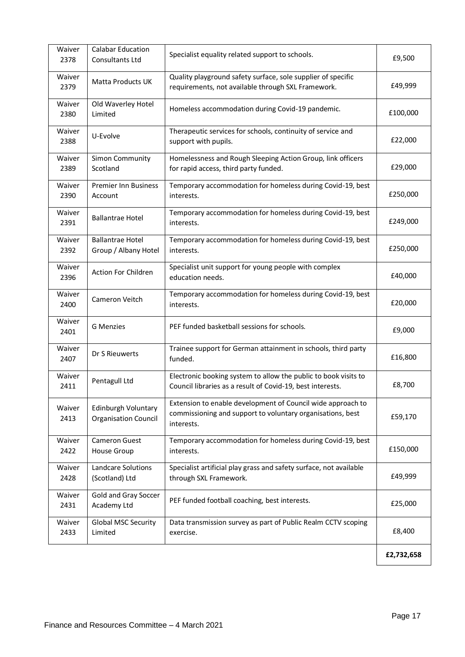| Waiver<br>2378 | <b>Calabar Education</b><br>Consultants Ltd        | Specialist equality related support to schools.                                                                                         | £9,500     |
|----------------|----------------------------------------------------|-----------------------------------------------------------------------------------------------------------------------------------------|------------|
| Waiver<br>2379 | Matta Products UK                                  | Quality playground safety surface, sole supplier of specific<br>requirements, not available through SXL Framework.                      | £49,999    |
| Waiver<br>2380 | Old Waverley Hotel<br>Limited                      | Homeless accommodation during Covid-19 pandemic.                                                                                        | £100,000   |
| Waiver<br>2388 | U-Evolve                                           | Therapeutic services for schools, continuity of service and<br>support with pupils.                                                     | £22,000    |
| Waiver<br>2389 | Simon Community<br>Scotland                        | Homelessness and Rough Sleeping Action Group, link officers<br>for rapid access, third party funded.                                    | £29,000    |
| Waiver<br>2390 | <b>Premier Inn Business</b><br>Account             | Temporary accommodation for homeless during Covid-19, best<br>interests.                                                                | £250,000   |
| Waiver<br>2391 | <b>Ballantrae Hotel</b>                            | Temporary accommodation for homeless during Covid-19, best<br>interests.                                                                | £249,000   |
| Waiver<br>2392 | <b>Ballantrae Hotel</b><br>Group / Albany Hotel    | Temporary accommodation for homeless during Covid-19, best<br>interests.                                                                | £250,000   |
| Waiver<br>2396 | Action For Children                                | Specialist unit support for young people with complex<br>education needs.                                                               | £40,000    |
| Waiver<br>2400 | Cameron Veitch                                     | Temporary accommodation for homeless during Covid-19, best<br>interests.                                                                | £20,000    |
| Waiver<br>2401 | <b>G</b> Menzies                                   | PEF funded basketball sessions for schools.                                                                                             | £9,000     |
| Waiver<br>2407 | Dr S Rieuwerts                                     | Trainee support for German attainment in schools, third party<br>funded.                                                                | £16,800    |
| Waiver<br>2411 | Pentagull Ltd                                      | Electronic booking system to allow the public to book visits to<br>Council libraries as a result of Covid-19, best interests.           | £8,700     |
| Waiver<br>2413 | Edinburgh Voluntary<br><b>Organisation Council</b> | Extension to enable development of Council wide approach to<br>commissioning and support to voluntary organisations, best<br>interests. | £59,170    |
| Waiver<br>2422 | <b>Cameron Guest</b><br>House Group                | Temporary accommodation for homeless during Covid-19, best<br>interests.                                                                | £150,000   |
| Waiver<br>2428 | <b>Landcare Solutions</b><br>(Scotland) Ltd        | Specialist artificial play grass and safety surface, not available<br>through SXL Framework.                                            | £49,999    |
| Waiver<br>2431 | Gold and Gray Soccer<br>Academy Ltd                | PEF funded football coaching, best interests.                                                                                           | £25,000    |
| Waiver<br>2433 | <b>Global MSC Security</b><br>Limited              | Data transmission survey as part of Public Realm CCTV scoping<br>exercise.                                                              | £8,400     |
|                |                                                    |                                                                                                                                         | £2,732,658 |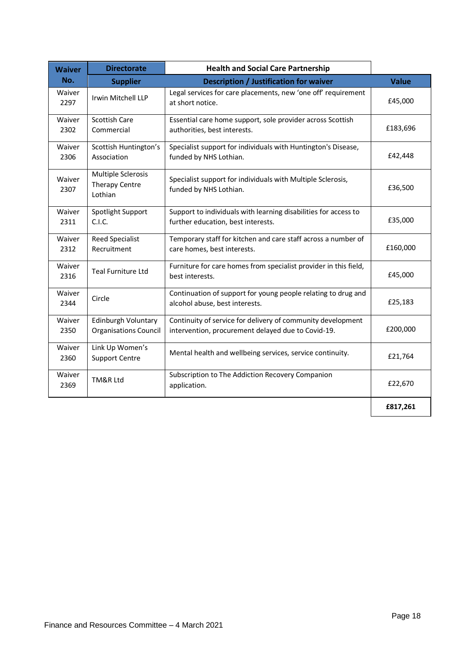| <b>Waiver</b>  | <b>Directorate</b>                                     | <b>Health and Social Care Partnership</b>                                                                         |              |
|----------------|--------------------------------------------------------|-------------------------------------------------------------------------------------------------------------------|--------------|
| No.            | <b>Supplier</b>                                        | <b>Description / Justification for waiver</b>                                                                     | <b>Value</b> |
| Waiver<br>2297 | Irwin Mitchell LLP                                     | Legal services for care placements, new 'one off' requirement<br>at short notice.                                 | £45,000      |
| Waiver<br>2302 | <b>Scottish Care</b><br>Commercial                     | Essential care home support, sole provider across Scottish<br>authorities, best interests.                        | £183,696     |
| Waiver<br>2306 | Scottish Huntington's<br>Association                   | Specialist support for individuals with Huntington's Disease,<br>funded by NHS Lothian.                           | £42,448      |
| Waiver<br>2307 | Multiple Sclerosis<br><b>Therapy Centre</b><br>Lothian | Specialist support for individuals with Multiple Sclerosis,<br>funded by NHS Lothian.                             | £36,500      |
| Waiver<br>2311 | Spotlight Support<br>C.I.C.                            | Support to individuals with learning disabilities for access to<br>further education, best interests.             | £35,000      |
| Waiver<br>2312 | <b>Reed Specialist</b><br>Recruitment                  | Temporary staff for kitchen and care staff across a number of<br>care homes, best interests.                      | £160,000     |
| Waiver<br>2316 | <b>Teal Furniture Ltd</b>                              | Furniture for care homes from specialist provider in this field,<br>best interests.                               | £45,000      |
| Waiver<br>2344 | Circle                                                 | Continuation of support for young people relating to drug and<br>alcohol abuse, best interests.                   | £25,183      |
| Waiver<br>2350 | Edinburgh Voluntary<br><b>Organisations Council</b>    | Continuity of service for delivery of community development<br>intervention, procurement delayed due to Covid-19. | £200,000     |
| Waiver<br>2360 | Link Up Women's<br><b>Support Centre</b>               | Mental health and wellbeing services, service continuity.                                                         | £21,764      |
| Waiver<br>2369 | TM&R Ltd                                               | Subscription to The Addiction Recovery Companion<br>application.                                                  | £22,670      |
|                |                                                        |                                                                                                                   | £817,261     |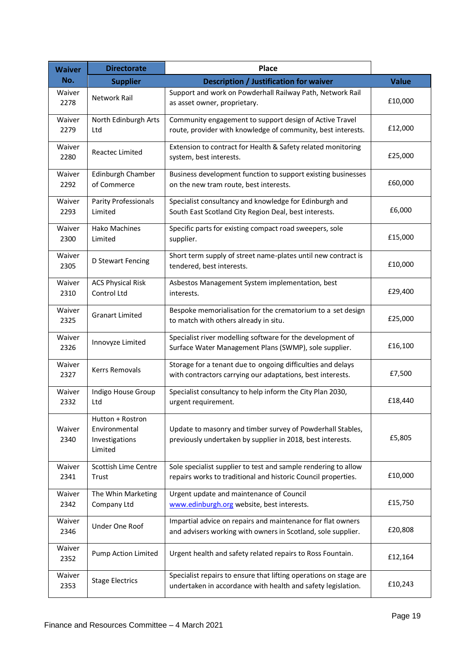| <b>Waiver</b>  | <b>Directorate</b>                                             | <b>Place</b>                                                                                                                      |              |
|----------------|----------------------------------------------------------------|-----------------------------------------------------------------------------------------------------------------------------------|--------------|
| No.            | <b>Supplier</b>                                                | <b>Description / Justification for waiver</b>                                                                                     | <b>Value</b> |
| Waiver<br>2278 | Network Rail                                                   | Support and work on Powderhall Railway Path, Network Rail<br>as asset owner, proprietary.                                         | £10,000      |
| Waiver<br>2279 | North Edinburgh Arts<br>Ltd                                    | Community engagement to support design of Active Travel<br>route, provider with knowledge of community, best interests.           | £12,000      |
| Waiver<br>2280 | Reactec Limited                                                | Extension to contract for Health & Safety related monitoring<br>system, best interests.                                           | £25,000      |
| Waiver<br>2292 | Edinburgh Chamber<br>of Commerce                               | Business development function to support existing businesses<br>on the new tram route, best interests.                            | £60,000      |
| Waiver<br>2293 | Parity Professionals<br>Limited                                | Specialist consultancy and knowledge for Edinburgh and<br>South East Scotland City Region Deal, best interests.                   | £6,000       |
| Waiver<br>2300 | <b>Hako Machines</b><br>Limited                                | Specific parts for existing compact road sweepers, sole<br>supplier.                                                              | £15,000      |
| Waiver<br>2305 | D Stewart Fencing                                              | Short term supply of street name-plates until new contract is<br>tendered, best interests.                                        | £10,000      |
| Waiver<br>2310 | <b>ACS Physical Risk</b><br>Control Ltd                        | Asbestos Management System implementation, best<br>interests.                                                                     | £29,400      |
| Waiver<br>2325 | <b>Granart Limited</b>                                         | Bespoke memorialisation for the crematorium to a set design<br>to match with others already in situ.                              | £25,000      |
| Waiver<br>2326 | Innovyze Limited                                               | Specialist river modelling software for the development of<br>Surface Water Management Plans (SWMP), sole supplier.               | £16,100      |
| Waiver<br>2327 | Kerrs Removals                                                 | Storage for a tenant due to ongoing difficulties and delays<br>with contractors carrying our adaptations, best interests.         | £7,500       |
| Waiver<br>2332 | Indigo House Group<br>Ltd                                      | Specialist consultancy to help inform the City Plan 2030,<br>urgent requirement.                                                  | £18,440      |
| Waiver<br>2340 | Hutton + Rostron<br>Environmental<br>Investigations<br>Limited | Update to masonry and timber survey of Powderhall Stables,<br>previously undertaken by supplier in 2018, best interests.          | £5,805       |
| Waiver<br>2341 | Scottish Lime Centre<br>Trust                                  | Sole specialist supplier to test and sample rendering to allow<br>repairs works to traditional and historic Council properties.   | £10,000      |
| Waiver<br>2342 | The Whin Marketing<br>Company Ltd                              | Urgent update and maintenance of Council<br>www.edinburgh.org website, best interests.                                            | £15,750      |
| Waiver<br>2346 | Under One Roof                                                 | Impartial advice on repairs and maintenance for flat owners<br>and advisers working with owners in Scotland, sole supplier.       | £20,808      |
| Waiver<br>2352 | <b>Pump Action Limited</b>                                     | Urgent health and safety related repairs to Ross Fountain.                                                                        | £12,164      |
| Waiver<br>2353 | <b>Stage Electrics</b>                                         | Specialist repairs to ensure that lifting operations on stage are<br>undertaken in accordance with health and safety legislation. | £10,243      |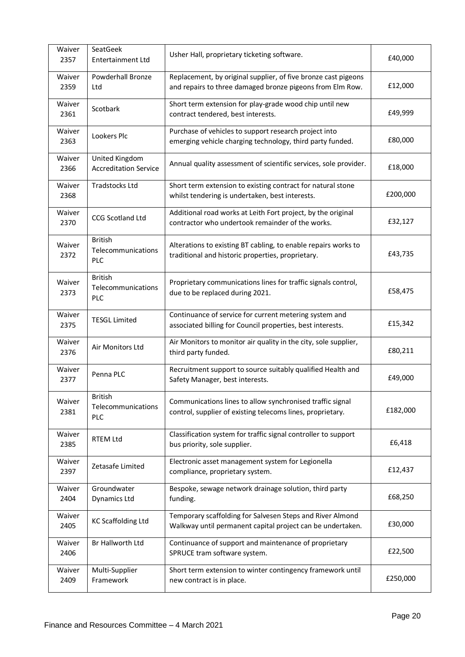| Waiver<br>2357 | SeatGeek<br>Entertainment Ltd                      | Usher Hall, proprietary ticketing software.                                                                                 | £40,000  |
|----------------|----------------------------------------------------|-----------------------------------------------------------------------------------------------------------------------------|----------|
| Waiver<br>2359 | Powderhall Bronze<br>Ltd                           | Replacement, by original supplier, of five bronze cast pigeons<br>and repairs to three damaged bronze pigeons from Elm Row. | £12,000  |
| Waiver<br>2361 | Scotbark                                           | Short term extension for play-grade wood chip until new<br>contract tendered, best interests.                               | £49,999  |
| Waiver<br>2363 | Lookers Plc                                        | Purchase of vehicles to support research project into<br>emerging vehicle charging technology, third party funded.          | £80,000  |
| Waiver<br>2366 | United Kingdom<br><b>Accreditation Service</b>     | Annual quality assessment of scientific services, sole provider.                                                            | £18,000  |
| Waiver<br>2368 | <b>Tradstocks Ltd</b>                              | Short term extension to existing contract for natural stone<br>whilst tendering is undertaken, best interests.              | £200,000 |
| Waiver<br>2370 | <b>CCG Scotland Ltd</b>                            | Additional road works at Leith Fort project, by the original<br>contractor who undertook remainder of the works.            | £32,127  |
| Waiver<br>2372 | <b>British</b><br>Telecommunications<br><b>PLC</b> | Alterations to existing BT cabling, to enable repairs works to<br>traditional and historic properties, proprietary.         | £43,735  |
| Waiver<br>2373 | <b>British</b><br>Telecommunications<br><b>PLC</b> | Proprietary communications lines for traffic signals control,<br>due to be replaced during 2021.                            | £58,475  |
| Waiver<br>2375 | <b>TESGL Limited</b>                               | Continuance of service for current metering system and<br>associated billing for Council properties, best interests.        | £15,342  |
| Waiver<br>2376 | Air Monitors Ltd                                   | Air Monitors to monitor air quality in the city, sole supplier,<br>third party funded.                                      | £80,211  |
| Waiver<br>2377 | Penna PLC                                          | Recruitment support to source suitably qualified Health and<br>Safety Manager, best interests.                              | £49,000  |
| Waiver<br>2381 | <b>British</b><br>Telecommunications<br><b>PLC</b> | Communications lines to allow synchronised traffic signal<br>control, supplier of existing telecoms lines, proprietary.     | £182,000 |
| Waiver<br>2385 | <b>RTEM Ltd</b>                                    | Classification system for traffic signal controller to support<br>bus priority, sole supplier.                              | £6,418   |
| Waiver<br>2397 | Zetasafe Limited                                   | Electronic asset management system for Legionella<br>compliance, proprietary system.                                        | £12,437  |
| Waiver<br>2404 | Groundwater<br><b>Dynamics Ltd</b>                 | Bespoke, sewage network drainage solution, third party<br>funding.                                                          | £68,250  |
| Waiver<br>2405 | <b>KC Scaffolding Ltd</b>                          | Temporary scaffolding for Salvesen Steps and River Almond<br>Walkway until permanent capital project can be undertaken.     | £30,000  |
| Waiver<br>2406 | Br Hallworth Ltd                                   | Continuance of support and maintenance of proprietary<br>SPRUCE tram software system.                                       | £22,500  |
| Waiver<br>2409 | Multi-Supplier<br>Framework                        | Short term extension to winter contingency framework until<br>new contract is in place.                                     | £250,000 |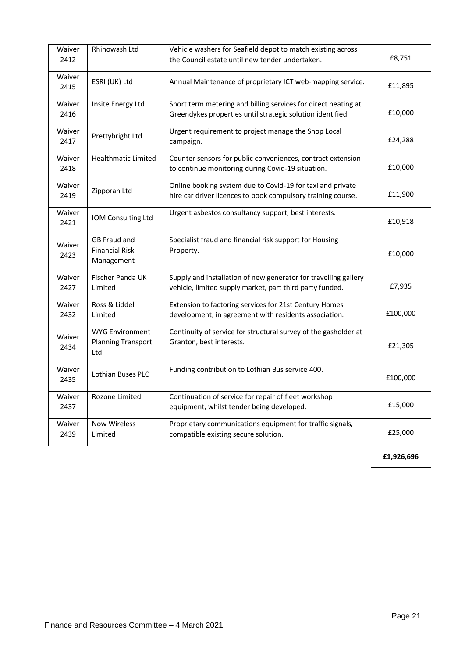| Waiver<br>2412 | Rhinowash Ltd                                              | Vehicle washers for Seafield depot to match existing across<br>the Council estate until new tender undertaken.               | £8,751     |
|----------------|------------------------------------------------------------|------------------------------------------------------------------------------------------------------------------------------|------------|
| Waiver<br>2415 | ESRI (UK) Ltd                                              | Annual Maintenance of proprietary ICT web-mapping service.                                                                   | £11,895    |
| Waiver<br>2416 | Insite Energy Ltd                                          | Short term metering and billing services for direct heating at<br>Greendykes properties until strategic solution identified. | £10,000    |
| Waiver<br>2417 | Prettybright Ltd                                           | Urgent requirement to project manage the Shop Local<br>campaign.                                                             | £24,288    |
| Waiver<br>2418 | <b>Healthmatic Limited</b>                                 | Counter sensors for public conveniences, contract extension<br>to continue monitoring during Covid-19 situation.             | £10,000    |
| Waiver<br>2419 | Zipporah Ltd                                               | Online booking system due to Covid-19 for taxi and private<br>hire car driver licences to book compulsory training course.   | £11,900    |
| Waiver<br>2421 | IOM Consulting Ltd                                         | Urgent asbestos consultancy support, best interests.                                                                         | £10,918    |
| Waiver<br>2423 | <b>GB Fraud and</b><br><b>Financial Risk</b><br>Management | Specialist fraud and financial risk support for Housing<br>Property.                                                         | £10,000    |
| Waiver<br>2427 | Fischer Panda UK<br>Limited                                | Supply and installation of new generator for travelling gallery<br>vehicle, limited supply market, part third party funded.  | £7,935     |
| Waiver<br>2432 | Ross & Liddell<br>Limited                                  | Extension to factoring services for 21st Century Homes<br>development, in agreement with residents association.              | £100,000   |
| Waiver<br>2434 | <b>WYG Environment</b><br><b>Planning Transport</b><br>Ltd | Continuity of service for structural survey of the gasholder at<br>Granton, best interests.                                  | £21,305    |
| Waiver<br>2435 | Lothian Buses PLC                                          | Funding contribution to Lothian Bus service 400.                                                                             | £100,000   |
| Waiver<br>2437 | Rozone Limited                                             | Continuation of service for repair of fleet workshop<br>equipment, whilst tender being developed.                            | £15,000    |
| Waiver<br>2439 | Now Wireless<br>Limited                                    | Proprietary communications equipment for traffic signals,<br>compatible existing secure solution.                            | £25,000    |
|                |                                                            |                                                                                                                              | £1,926,696 |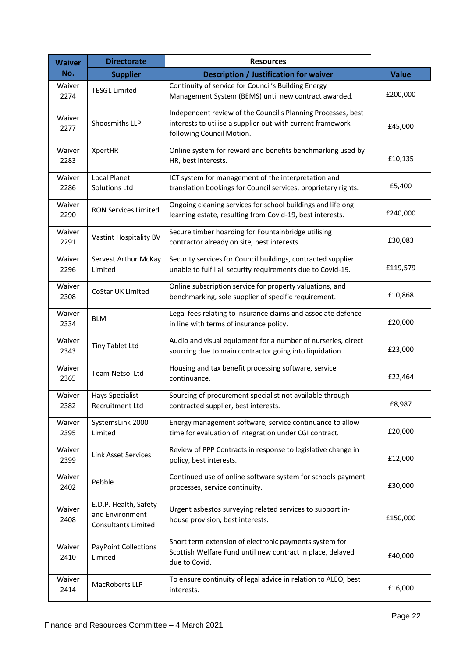| <b>Waiver</b>  | <b>Directorate</b>                                              | <b>Resources</b>                                                                                                                                        |              |
|----------------|-----------------------------------------------------------------|---------------------------------------------------------------------------------------------------------------------------------------------------------|--------------|
| No.            | <b>Supplier</b>                                                 | <b>Description / Justification for waiver</b>                                                                                                           | <b>Value</b> |
| Waiver<br>2274 | <b>TESGL Limited</b>                                            | Continuity of service for Council's Building Energy<br>Management System (BEMS) until new contract awarded.                                             | £200,000     |
| Waiver<br>2277 | Shoosmiths LLP                                                  | Independent review of the Council's Planning Processes, best<br>interests to utilise a supplier out-with current framework<br>following Council Motion. | £45,000      |
| Waiver<br>2283 | XpertHR                                                         | Online system for reward and benefits benchmarking used by<br>HR, best interests.                                                                       | £10,135      |
| Waiver<br>2286 | <b>Local Planet</b><br>Solutions Ltd                            | ICT system for management of the interpretation and<br>translation bookings for Council services, proprietary rights.                                   | £5,400       |
| Waiver<br>2290 | <b>RON Services Limited</b>                                     | Ongoing cleaning services for school buildings and lifelong<br>learning estate, resulting from Covid-19, best interests.                                | £240,000     |
| Waiver<br>2291 | Vastint Hospitality BV                                          | Secure timber hoarding for Fountainbridge utilising<br>contractor already on site, best interests.                                                      | £30,083      |
| Waiver<br>2296 | Servest Arthur McKay<br>Limited                                 | Security services for Council buildings, contracted supplier<br>unable to fulfil all security requirements due to Covid-19.                             | £119,579     |
| Waiver<br>2308 | CoStar UK Limited                                               | Online subscription service for property valuations, and<br>benchmarking, sole supplier of specific requirement.                                        | £10,868      |
| Waiver<br>2334 | <b>BLM</b>                                                      | Legal fees relating to insurance claims and associate defence<br>in line with terms of insurance policy.                                                | £20,000      |
| Waiver<br>2343 | Tiny Tablet Ltd                                                 | Audio and visual equipment for a number of nurseries, direct<br>sourcing due to main contractor going into liquidation.                                 | £23,000      |
| Waiver<br>2365 | Team Netsol Ltd                                                 | Housing and tax benefit processing software, service<br>continuance.                                                                                    | £22,464      |
| Waiver<br>2382 | <b>Hays Specialist</b><br>Recruitment Ltd                       | Sourcing of procurement specialist not available through<br>contracted supplier, best interests.                                                        | £8,987       |
| Waiver<br>2395 | SystemsLink 2000<br>Limited                                     | Energy management software, service continuance to allow<br>time for evaluation of integration under CGI contract.                                      | £20,000      |
| Waiver<br>2399 | <b>Link Asset Services</b>                                      | Review of PPP Contracts in response to legislative change in<br>policy, best interests.                                                                 | £12,000      |
| Waiver<br>2402 | Pebble                                                          | Continued use of online software system for schools payment<br>processes, service continuity.                                                           | £30,000      |
| Waiver<br>2408 | E.D.P. Health, Safety<br>and Environment<br>Consultants Limited | Urgent asbestos surveying related services to support in-<br>house provision, best interests.                                                           | £150,000     |
| Waiver<br>2410 | <b>PayPoint Collections</b><br>Limited                          | Short term extension of electronic payments system for<br>Scottish Welfare Fund until new contract in place, delayed<br>due to Covid.                   | £40,000      |
| Waiver<br>2414 | MacRoberts LLP                                                  | To ensure continuity of legal advice in relation to ALEO, best<br>interests.                                                                            | £16,000      |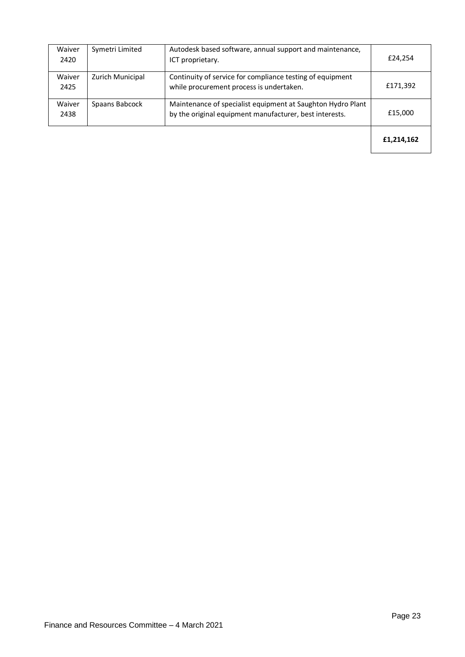| Waiver<br>2420 | Symetri Limited  | Autodesk based software, annual support and maintenance,<br>ICT proprietary.                                           | £24,254    |
|----------------|------------------|------------------------------------------------------------------------------------------------------------------------|------------|
| Waiver<br>2425 | Zurich Municipal | Continuity of service for compliance testing of equipment<br>while procurement process is undertaken.                  | £171,392   |
| Waiver<br>2438 | Spaans Babcock   | Maintenance of specialist equipment at Saughton Hydro Plant<br>by the original equipment manufacturer, best interests. | £15,000    |
|                |                  |                                                                                                                        | £1,214,162 |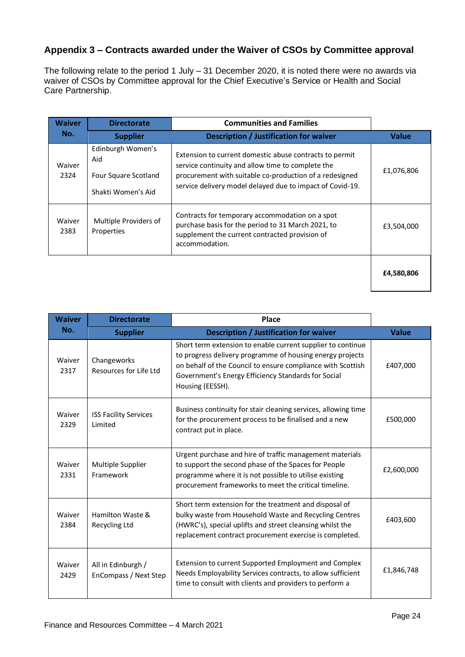#### **Appendix 3 – Contracts awarded under the Waiver of CSOs by Committee approval**

The following relate to the period 1 July – 31 December 2020, it is noted there were no awards via waiver of CSOs by Committee approval for the Chief Executive's Service or Health and Social Care Partnership.

| <b>Waiver</b>  | <b>Directorate</b>                                                     | <b>Communities and Families</b>                                                                                                                                                                                                      |              |
|----------------|------------------------------------------------------------------------|--------------------------------------------------------------------------------------------------------------------------------------------------------------------------------------------------------------------------------------|--------------|
| No.            | <b>Supplier</b>                                                        | Description / Justification for waiver                                                                                                                                                                                               | <b>Value</b> |
| Waiver<br>2324 | Edinburgh Women's<br>Aid<br>Four Square Scotland<br>Shakti Women's Aid | Extension to current domestic abuse contracts to permit<br>service continuity and allow time to complete the<br>procurement with suitable co-production of a redesigned<br>service delivery model delayed due to impact of Covid-19. | £1,076,806   |
| Waiver<br>2383 | Multiple Providers of<br>Properties                                    | Contracts for temporary accommodation on a spot<br>purchase basis for the period to 31 March 2021, to<br>supplement the current contracted provision of<br>accommodation.                                                            | £3,504,000   |
|                |                                                                        |                                                                                                                                                                                                                                      | £4,580,806   |

| <b>Waiver</b>  | <b>Directorate</b>                          | <b>Place</b>                                                                                                                                                                                                                                                       |            |
|----------------|---------------------------------------------|--------------------------------------------------------------------------------------------------------------------------------------------------------------------------------------------------------------------------------------------------------------------|------------|
| No.            | <b>Supplier</b>                             | <b>Description / Justification for waiver</b>                                                                                                                                                                                                                      |            |
| Waiver<br>2317 | Changeworks<br>Resources for Life Ltd       | Short term extension to enable current supplier to continue<br>to progress delivery programme of housing energy projects<br>on behalf of the Council to ensure compliance with Scottish<br>Government's Energy Efficiency Standards for Social<br>Housing (EESSH). | £407,000   |
| Waiver<br>2329 | <b>ISS Facility Services</b><br>Limited     | Business continuity for stair cleaning services, allowing time<br>for the procurement process to be finalised and a new<br>contract put in place.                                                                                                                  | £500,000   |
| Waiver<br>2331 | Multiple Supplier<br>Framework              | Urgent purchase and hire of traffic management materials<br>to support the second phase of the Spaces for People<br>programme where it is not possible to utilise existing<br>procurement frameworks to meet the critical timeline.                                | £2,600,000 |
| Waiver<br>2384 | Hamilton Waste &<br>Recycling Ltd           | Short term extension for the treatment and disposal of<br>bulky waste from Household Waste and Recycling Centres<br>(HWRC's), special uplifts and street cleansing whilst the<br>replacement contract procurement exercise is completed.                           |            |
| Waiver<br>2429 | All in Edinburgh /<br>EnCompass / Next Step | Extension to current Supported Employment and Complex<br>Needs Employability Services contracts, to allow sufficient<br>time to consult with clients and providers to perform a                                                                                    | £1,846,748 |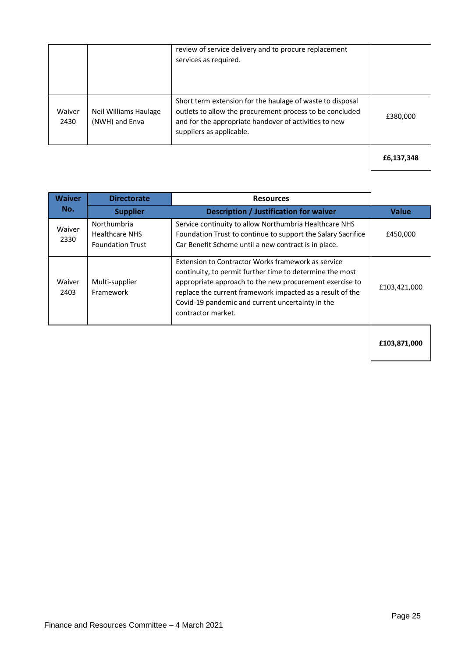|                |                                         | review of service delivery and to procure replacement<br>services as required.                                                                                                                             |            |
|----------------|-----------------------------------------|------------------------------------------------------------------------------------------------------------------------------------------------------------------------------------------------------------|------------|
| Waiver<br>2430 | Neil Williams Haulage<br>(NWH) and Enva | Short term extension for the haulage of waste to disposal<br>outlets to allow the procurement process to be concluded<br>and for the appropriate handover of activities to new<br>suppliers as applicable. | £380,000   |
|                |                                         |                                                                                                                                                                                                            | £6,137,348 |

| <b>Waiver</b><br>No. | <b>Directorate</b>                                              | <b>Resources</b>                                                                                                                                                                                                                                                                                                 |              |
|----------------------|-----------------------------------------------------------------|------------------------------------------------------------------------------------------------------------------------------------------------------------------------------------------------------------------------------------------------------------------------------------------------------------------|--------------|
|                      | <b>Supplier</b>                                                 | Description / Justification for waiver                                                                                                                                                                                                                                                                           | <b>Value</b> |
| Waiver<br>2330       | Northumbria<br><b>Healthcare NHS</b><br><b>Foundation Trust</b> | Service continuity to allow Northumbria Healthcare NHS<br>Foundation Trust to continue to support the Salary Sacrifice<br>Car Benefit Scheme until a new contract is in place.                                                                                                                                   | £450,000     |
| Waiver<br>2403       | Multi-supplier<br>Framework                                     | Extension to Contractor Works framework as service<br>continuity, to permit further time to determine the most<br>appropriate approach to the new procurement exercise to<br>replace the current framework impacted as a result of the<br>Covid-19 pandemic and current uncertainty in the<br>contractor market. | £103,421,000 |
|                      |                                                                 |                                                                                                                                                                                                                                                                                                                  | £103,871,000 |